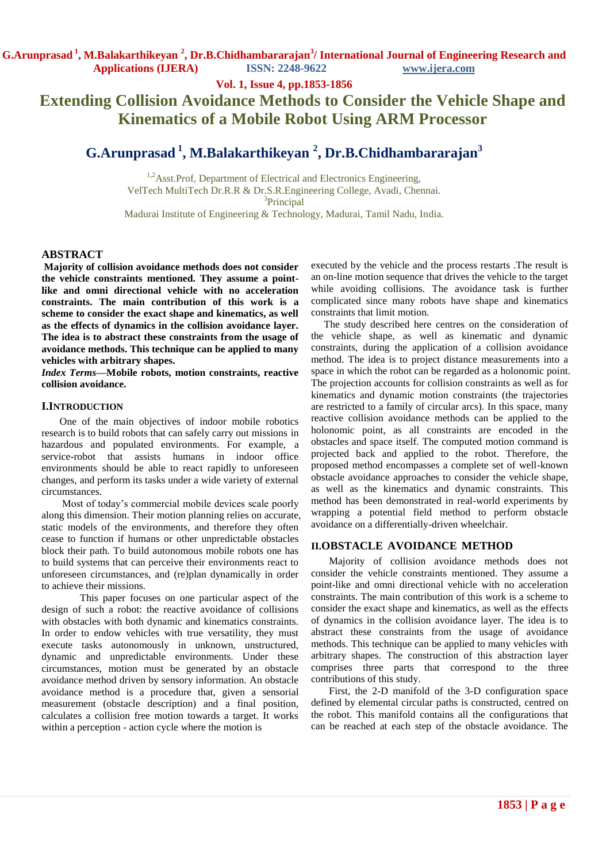**Vol. 1, Issue 4, pp.1853-1856**

# **Extending Collision Avoidance Methods to Consider the Vehicle Shape and Kinematics of a Mobile Robot Using ARM Processor**

# **G.Arunprasad <sup>1</sup> , M.Balakarthikeyan <sup>2</sup> , Dr.B.Chidhambararajan<sup>3</sup>**

<sup>1,2</sup>Asst.Prof, Department of Electrical and Electronics Engineering, VelTech MultiTech Dr.R.R & Dr.S.R.Engineering College, Avadi, Chennai. 3 Principal Madurai Institute of Engineering & Technology, Madurai, Tamil Nadu, India.

### **ABSTRACT**

**Majority of collision avoidance methods does not consider the vehicle constraints mentioned. They assume a pointlike and omni directional vehicle with no acceleration constraints. The main contribution of this work is a scheme to consider the exact shape and kinematics, as well as the effects of dynamics in the collision avoidance layer. The idea is to abstract these constraints from the usage of avoidance methods. This technique can be applied to many vehicles with arbitrary shapes.**

*Index Terms***—Mobile robots, motion constraints, reactive collision avoidance.**

#### **I.INTRODUCTION**

 One of the main objectives of indoor mobile robotics research is to build robots that can safely carry out missions in hazardous and populated environments. For example, a service-robot that assists humans in indoor office environments should be able to react rapidly to unforeseen changes, and perform its tasks under a wide variety of external circumstances.

 Most of today's commercial mobile devices scale poorly along this dimension. Their motion planning relies on accurate, static models of the environments, and therefore they often cease to function if humans or other unpredictable obstacles block their path. To build autonomous mobile robots one has to build systems that can perceive their environments react to unforeseen circumstances, and (re)plan dynamically in order to achieve their missions.

 This paper focuses on one particular aspect of the design of such a robot: the reactive avoidance of collisions with obstacles with both dynamic and kinematics constraints. In order to endow vehicles with true versatility, they must execute tasks autonomously in unknown, unstructured, dynamic and unpredictable environments. Under these circumstances, motion must be generated by an obstacle avoidance method driven by sensory information. An obstacle avoidance method is a procedure that, given a sensorial measurement (obstacle description) and a final position, calculates a collision free motion towards a target. It works within a perception - action cycle where the motion is

executed by the vehicle and the process restarts .The result is an on-line motion sequence that drives the vehicle to the target while avoiding collisions. The avoidance task is further complicated since many robots have shape and kinematics constraints that limit motion.

 The study described here centres on the consideration of the vehicle shape, as well as kinematic and dynamic constraints, during the application of a collision avoidance method. The idea is to project distance measurements into a space in which the robot can be regarded as a holonomic point. The projection accounts for collision constraints as well as for kinematics and dynamic motion constraints (the trajectories are restricted to a family of circular arcs). In this space, many reactive collision avoidance methods can be applied to the holonomic point, as all constraints are encoded in the obstacles and space itself. The computed motion command is projected back and applied to the robot. Therefore, the proposed method encompasses a complete set of well-known obstacle avoidance approaches to consider the vehicle shape, as well as the kinematics and dynamic constraints. This method has been demonstrated in real-world experiments by wrapping a potential field method to perform obstacle avoidance on a differentially-driven wheelchair.

#### **II.OBSTACLE AVOIDANCE METHOD**

 Majority of collision avoidance methods does not consider the vehicle constraints mentioned. They assume a point-like and omni directional vehicle with no acceleration constraints. The main contribution of this work is a scheme to consider the exact shape and kinematics, as well as the effects of dynamics in the collision avoidance layer. The idea is to abstract these constraints from the usage of avoidance methods. This technique can be applied to many vehicles with arbitrary shapes. The construction of this abstraction layer comprises three parts that correspond to the three contributions of this study.

 First, the 2-D manifold of the 3-D configuration space defined by elemental circular paths is constructed, centred on the robot. This manifold contains all the configurations that can be reached at each step of the obstacle avoidance. The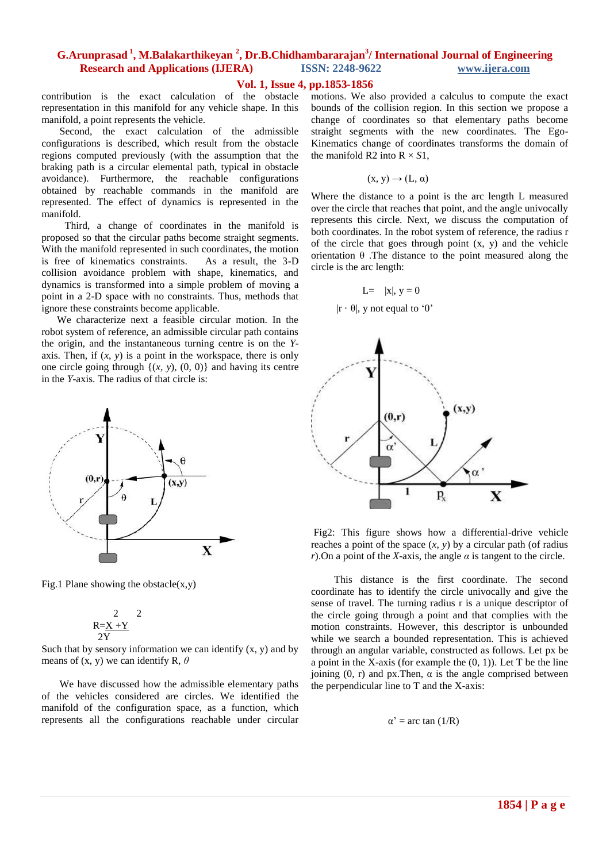## **Vol. 1, Issue 4, pp.1853-1856**

contribution is the exact calculation of the obstacle representation in this manifold for any vehicle shape. In this manifold, a point represents the vehicle.

 Second, the exact calculation of the admissible configurations is described, which result from the obstacle regions computed previously (with the assumption that the braking path is a circular elemental path, typical in obstacle avoidance). Furthermore, the reachable configurations obtained by reachable commands in the manifold are represented. The effect of dynamics is represented in the manifold.

 Third, a change of coordinates in the manifold is proposed so that the circular paths become straight segments. With the manifold represented in such coordinates, the motion is free of kinematics constraints. As a result, the 3-D collision avoidance problem with shape, kinematics, and dynamics is transformed into a simple problem of moving a point in a 2-D space with no constraints. Thus, methods that ignore these constraints become applicable.

 We characterize next a feasible circular motion. In the robot system of reference, an admissible circular path contains the origin, and the instantaneous turning centre is on the *Y*axis. Then, if  $(x, y)$  is a point in the workspace, there is only one circle going through  $\{(x, y), (0, 0)\}$  and having its centre in the *Y*-axis. The radius of that circle is:



Fig.1 Plane showing the obstacle $(x,y)$ 

$$
\begin{array}{cc} & 2 & 2 \\ R=\underline{X}+\underline{Y} & \\ 2Y & \end{array}
$$

Such that by sensory information we can identify  $(x, y)$  and by means of (x, y) we can identify R, *θ*

 We have discussed how the admissible elementary paths of the vehicles considered are circles. We identified the manifold of the configuration space, as a function, which represents all the configurations reachable under circular motions. We also provided a calculus to compute the exact bounds of the collision region. In this section we propose a change of coordinates so that elementary paths become straight segments with the new coordinates. The Ego-Kinematics change of coordinates transforms the domain of the manifold R2 into  $R \times S1$ .

$$
(x, y) \rightarrow (L, \alpha)
$$

Where the distance to a point is the arc length L measured over the circle that reaches that point, and the angle univocally represents this circle. Next, we discuss the computation of both coordinates. In the robot system of reference, the radius r of the circle that goes through point  $(x, y)$  and the vehicle orientation θ .The distance to the point measured along the circle is the arc length:

$$
L = |x|, y = 0
$$

 $|r \cdot \theta|$ , y not equal to '0'



Fig2: This figure shows how a differential-drive vehicle reaches a point of the space  $(x, y)$  by a circular path (of radius *r*). On a point of the *X*-axis, the angle  $\alpha$  is tangent to the circle.

 This distance is the first coordinate. The second coordinate has to identify the circle univocally and give the sense of travel. The turning radius r is a unique descriptor of the circle going through a point and that complies with the motion constraints. However, this descriptor is unbounded while we search a bounded representation. This is achieved through an angular variable, constructed as follows. Let px be a point in the X-axis (for example the  $(0, 1)$ ). Let T be the line joining  $(0, r)$  and px. Then,  $\alpha$  is the angle comprised between the perpendicular line to T and the X-axis:

$$
\alpha' = \arctan(1/R)
$$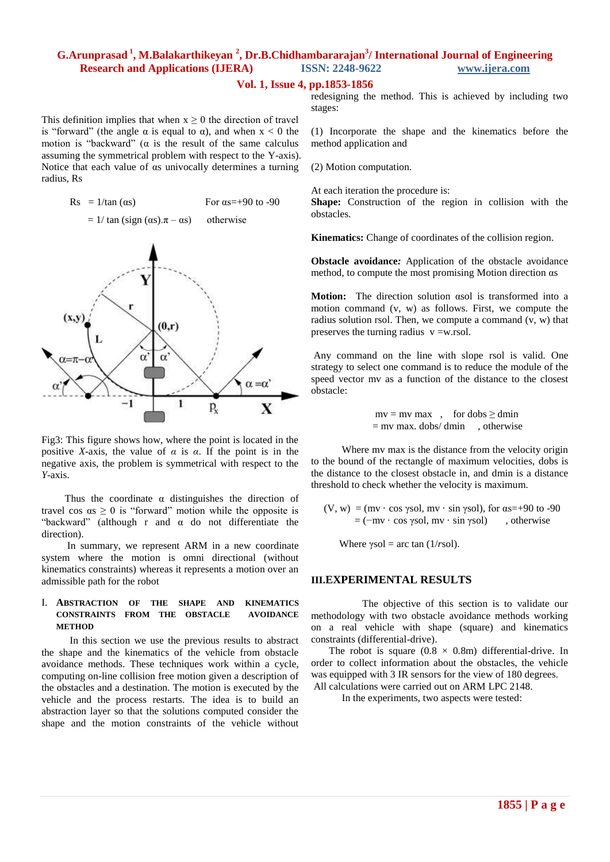#### **Vol. 1, Issue 4, pp.1853-1856**

This definition implies that when  $x \geq 0$  the direction of travel is "forward" (the angle  $\alpha$  is equal to  $\alpha$ ), and when  $x < 0$  the motion is "backward" ( $\alpha$  is the result of the same calculus assuming the symmetrical problem with respect to the Y-axis). Notice that each value of αs univocally determines a turning radius, Rs

| $\text{Rs } = 1/\tan{(\alpha s)}$ | For $\alpha$ s=+90 to -90 |
|-----------------------------------|---------------------------|
|-----------------------------------|---------------------------|

$$
= 1/\tan\left(\text{sign}\left(\alpha s\right).\pi - \alpha s\right) \quad \text{otherwise}
$$



Fig3: This figure shows how, where the point is located in the positive *X*-axis, the value of  $\alpha$  is  $\alpha$ . If the point is in the negative axis, the problem is symmetrical with respect to the *Y*-axis.

Thus the coordinate  $\alpha$  distinguishes the direction of travel cos  $\alpha s \geq 0$  is "forward" motion while the opposite is "backward" (although r and  $\alpha$  do not differentiate the direction).

 In summary, we represent ARM in a new coordinate system where the motion is omni directional (without kinematics constraints) whereas it represents a motion over an admissible path for the robot

## I. **ABSTRACTION OF THE SHAPE AND KINEMATICS CONSTRAINTS FROM THE OBSTACLE AVOIDANCE METHOD**

 In this section we use the previous results to abstract the shape and the kinematics of the vehicle from obstacle avoidance methods. These techniques work within a cycle, computing on-line collision free motion given a description of the obstacles and a destination. The motion is executed by the vehicle and the process restarts. The idea is to build an abstraction layer so that the solutions computed consider the shape and the motion constraints of the vehicle without redesigning the method. This is achieved by including two stages:

(1) Incorporate the shape and the kinematics before the method application and

(2) Motion computation.

At each iteration the procedure is:

**Shape:** Construction of the region in collision with the obstacles.

**Kinematics:** Change of coordinates of the collision region.

**Obstacle avoidance***:* Application of the obstacle avoidance method, to compute the most promising Motion direction αs

**Motion:** The direction solution αsol is transformed into a motion command (v, w) as follows. First, we compute the radius solution rsol. Then, we compute a command  $(v, w)$  that preserves the turning radius  $v = w$ .rsol.

Any command on the line with slope rsol is valid. One strategy to select one command is to reduce the module of the speed vector mv as a function of the distance to the closest obstacle:

> $mv = mv$  max, for dobs  $\ge$  dmin  $=$  mv max. dobs/ dmin , otherwise

 Where mv max is the distance from the velocity origin to the bound of the rectangle of maximum velocities, dobs is the distance to the closest obstacle in, and dmin is a distance threshold to check whether the velocity is maximum.

(V, w) = (mv · cos γsol, mv · sin γsol), for  $\alpha s = +90$  to -90  $=$  ( $-mv \cdot cos \gamma sol$ ,  $mv \cdot sin \gamma sol$ ), otherwise

Where  $\gamma$ sol = arc tan (1/*r*sol).

#### **III.EXPERIMENTAL RESULTS**

 The objective of this section is to validate our methodology with two obstacle avoidance methods working on a real vehicle with shape (square) and kinematics constraints (differential-drive).

The robot is square  $(0.8 \times 0.8m)$  differential-drive. In order to collect information about the obstacles, the vehicle was equipped with 3 IR sensors for the view of 180 degrees. All calculations were carried out on ARM LPC 2148.

In the experiments, two aspects were tested: